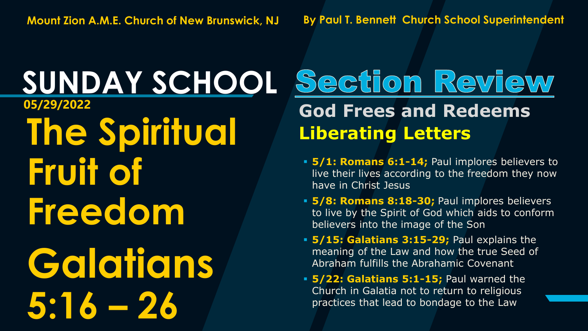**SUNDAY SCHOOL The Spiritual Fruit of Freedom Galatians 5:16 – 26** 

#### Section Review **05/29/2022 God Frees and Redeems Liberating Letters**

- **5/1: Romans 6:1-14;** Paul implores believers to live their lives according to the freedom they now have in Christ Jesus
- **5/8: Romans 8:18-30;** Paul implores believers to live by the Spirit of God which aids to conform believers into the image of the Son
- **5/15: Galatians 3:15-29;** Paul explains the meaning of the Law and how the true Seed of Abraham fulfills the Abrahamic Covenant
- **5/22: Galatians 5:1-15;** Paul warned the Church in Galatia not to return to religious practices that lead to bondage to the Law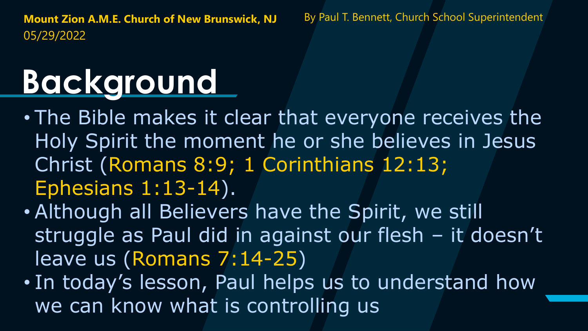# **Background**

- The Bible makes it clear that everyone receives the Holy Spirit the moment he or she believes in Jesus Christ (Romans 8:9; 1 Corinthians 12:13; Ephesians 1:13-14).
- Although all Believers have the Spirit, we still struggle as Paul did in against our flesh – it doesn't leave us (Romans 7:14-25)
- In today's lesson, Paul helps us to understand how we can know what is controlling us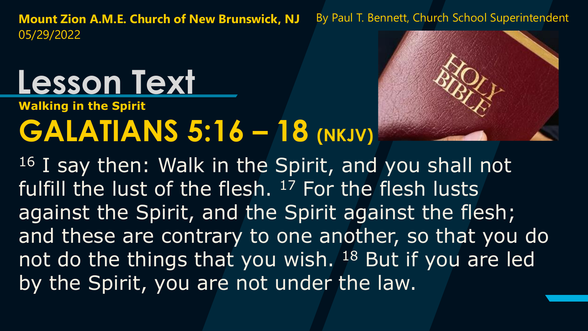## **Lesson Text**

**Walking in the Spirit**

## **GALATIANS 5:16 – 18 (NKJV)**



<sup>16</sup> I say then: Walk in the Spirit, and you shall not fulfill the lust of the flesh. <sup>17</sup> For the flesh lusts against the Spirit, and the Spirit against the flesh; and these are contrary to one another, so that you do not do the things that you wish. <sup>18</sup> But if you are led by the Spirit, you are not under the law.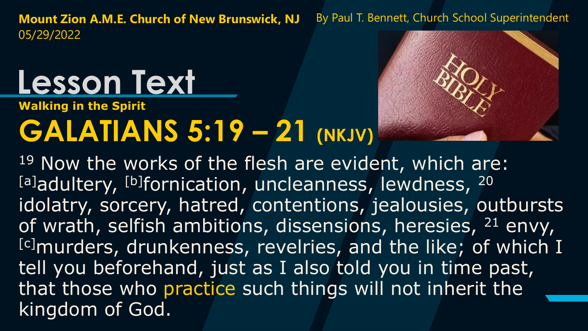# **Lesson Text**

**Walking in the Spirit**

### **GALATIANS 5:19 – 21 (NKJV)**



19 Now the works of the flesh are evident, which are: [a]adultery, [b]fornication, uncleanness, lewdness, 20 idolatry, sorcery, hatred, contentions, jealousies, outbursts of wrath, selfish ambitions, dissensions, heresies, <sup>21</sup> envy, [c]murders, drunkenness, revelries, and the like; of which I tell you beforehand, just as I also told you in time past, that those who practice such things will not inherit the kingdom of God.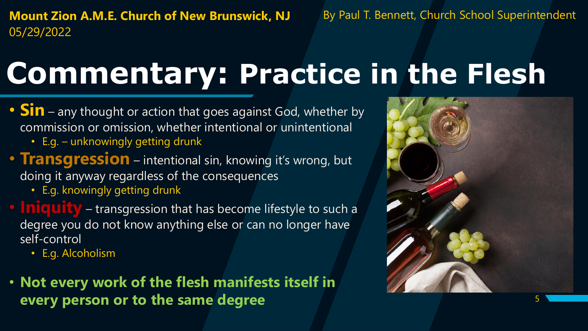**Mount Zion A.M.E. Church of New Brunswick, NJ** By Paul T. Bennett, Church School Superintendent 05/29/2022

#### **Commentary: Practice in the Flesh**

- **Sin** any thought or action that goes against God, whether by commission or omission, whether intentional or unintentional
	- E.g. unknowingly getting drunk
- **Transgression** intentional sin, knowing it's wrong, but doing it anyway regardless of the consequences
	- E.g. knowingly getting drunk
- **Iniquity** transgression that has become lifestyle to such a degree you do not know anything else or can no longer have self-control
	- E.g. Alcoholism
- **Not every work of the flesh manifests itself in every person or to the same degree**

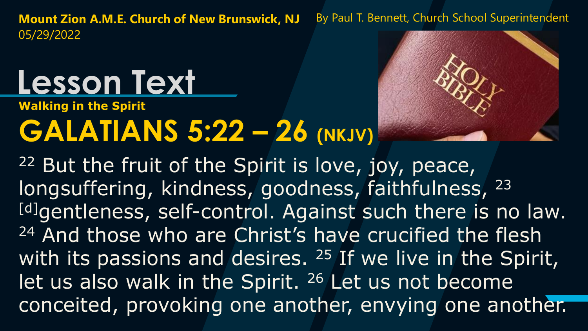# **Lesson Text**

**Walking in the Spirit**

### **GALATIANS 5:22 – 26 (NKJV)**



<sup>22</sup> But the fruit of the Spirit is love, joy, peace, longsuffering, kindness, goodness, faithfulness, 23 [d]gentleness, self-control. Against such there is no law. <sup>24</sup> And those who are Christ's have crucified the flesh with its passions and desires. <sup>25</sup> If we live in the Spirit, let us also walk in the Spirit. <sup>26</sup> Let us not become conceited, provoking one another, envying one another.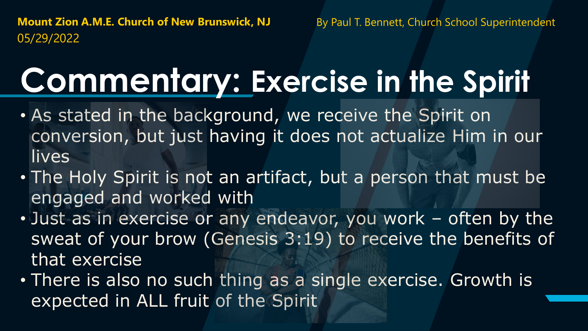## **Commentary: Exercise in the Spirit**

- As stated in the background, we receive the Spirit on conversion, but just having it does not actualize Him in our lives
- The Holy Spirit is not an artifact, but a person that must be engaged and worked with
- Just as in exercise or any endeavor, you work often by the sweat of your brow (Genesis 3:19) to receive the benefits of that exercise
- There is also no such thing as a single exercise. Growth is expected in ALL fruit of the Spirit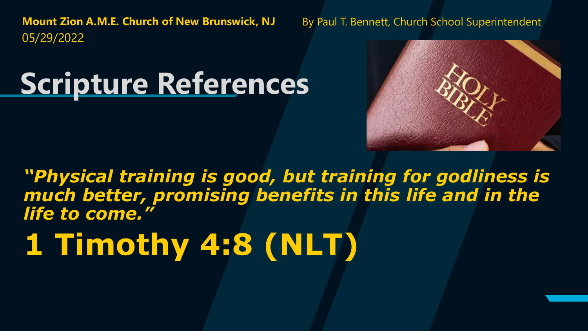#### **Scripture References**



*"Physical training is good, but training for godliness is much better, promising benefits in this life and in the life to come."*

## **1 Timothy 4:8 (NLT)**